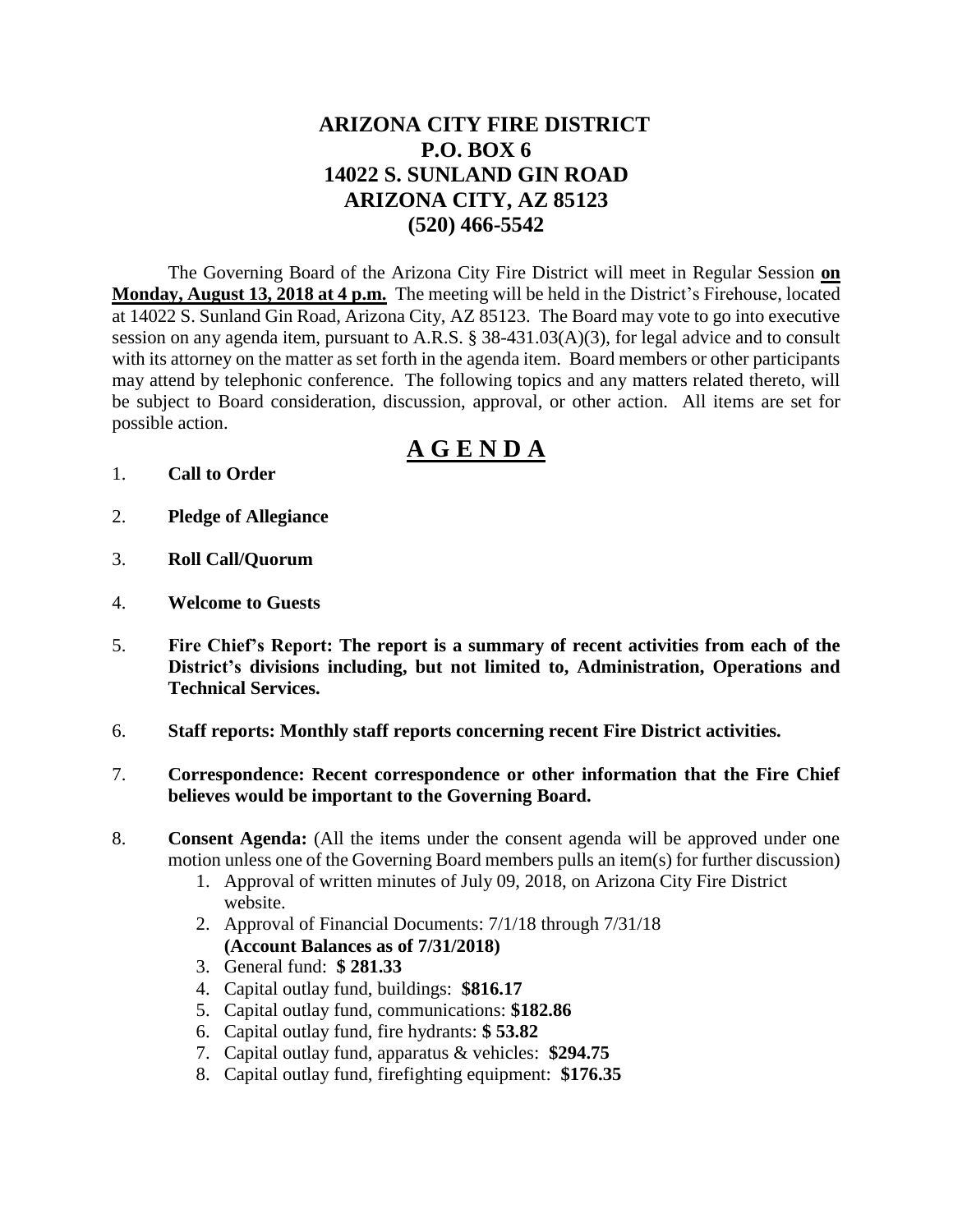## **ARIZONA CITY FIRE DISTRICT P.O. BOX 6 14022 S. SUNLAND GIN ROAD ARIZONA CITY, AZ 85123 (520) 466-5542**

The Governing Board of the Arizona City Fire District will meet in Regular Session **on Monday, August 13, 2018 at 4 p.m.** The meeting will be held in the District's Firehouse, located at 14022 S. Sunland Gin Road, Arizona City, AZ 85123. The Board may vote to go into executive session on any agenda item, pursuant to A.R.S. § 38-431.03(A)(3), for legal advice and to consult with its attorney on the matter as set forth in the agenda item. Board members or other participants may attend by telephonic conference. The following topics and any matters related thereto, will be subject to Board consideration, discussion, approval, or other action. All items are set for possible action.

# **A G E N D A**

- 1. **Call to Order**
- 2. **Pledge of Allegiance**
- 3. **Roll Call/Quorum**
- 4. **Welcome to Guests**
- 5. **Fire Chief's Report: The report is a summary of recent activities from each of the District's divisions including, but not limited to, Administration, Operations and Technical Services.**
- 6. **Staff reports: Monthly staff reports concerning recent Fire District activities.**
- 7. **Correspondence: Recent correspondence or other information that the Fire Chief believes would be important to the Governing Board.**
- 8. **Consent Agenda:** (All the items under the consent agenda will be approved under one motion unless one of the Governing Board members pulls an item(s) for further discussion)
	- 1. Approval of written minutes of July 09, 2018, on Arizona City Fire District website.
	- 2. Approval of Financial Documents: 7/1/18 through 7/31/18 **(Account Balances as of 7/31/2018)**
	- 3. General fund: **\$ 281.33**
	- 4. Capital outlay fund, buildings: **\$816.17**
	- 5. Capital outlay fund, communications: **\$182.86**
	- 6. Capital outlay fund, fire hydrants: **\$ 53.82**
	- 7. Capital outlay fund, apparatus & vehicles: **\$294.75**
	- 8. Capital outlay fund, firefighting equipment: **\$176.35**